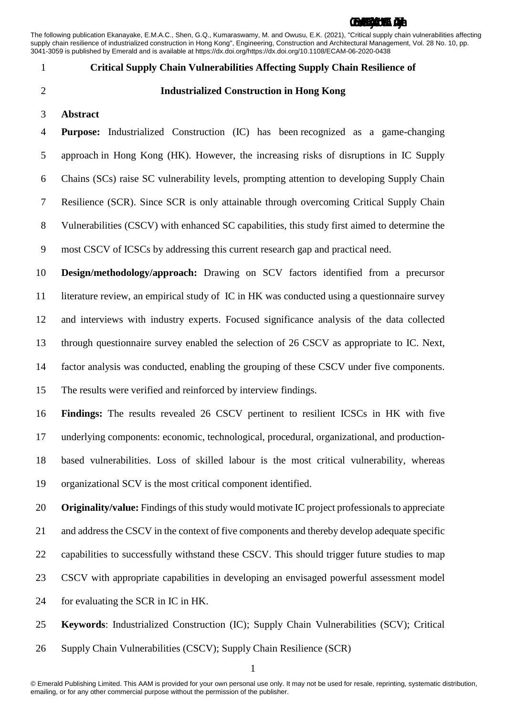The following publication Ekanayake, E.M.A.C., Shen, G.Q., Kumaraswamy, M. and Owusu, E.K. (2021), "Critical supply chain vulnerabilities affecting supply chain resilience of industrialized construction in Hong Kong", Engineering, Construction and Architectural Management, Vol. 28 No. 10, pp. 3041-3059 is published by Emerald and is available at https://dx.doi.org/https://dx.doi.org/10.1108/ECAM-06-2020-0438

- 
- 

## **Critical Supply Chain Vulnerabilities Affecting Supply Chain Resilience of**

- **Industrialized Construction in Hong Kong**
- **Abstract**

 **Purpose:** Industrialized Construction (IC) has been recognized as a game-changing approach in Hong Kong (HK). However, the increasing risks of disruptions in IC Supply Chains (SCs) raise SC vulnerability levels, prompting attention to developing Supply Chain Resilience (SCR). Since SCR is only attainable through overcoming Critical Supply Chain Vulnerabilities (CSCV) with enhanced SC capabilities, this study first aimed to determine the most CSCV of ICSCs by addressing this current research gap and practical need.

 **Design/methodology/approach:** Drawing on SCV factors identified from a precursor literature review, an empirical study of IC in HK was conducted using a questionnaire survey and interviews with industry experts. Focused significance analysis of the data collected through questionnaire survey enabled the selection of 26 CSCV as appropriate to IC. Next, factor analysis was conducted, enabling the grouping of these CSCV under five components. The results were verified and reinforced by interview findings.

 **Findings:** The results revealed 26 CSCV pertinent to resilient ICSCs in HK with five underlying components: economic, technological, procedural, organizational, and production- based vulnerabilities. Loss of skilled labour is the most critical vulnerability, whereas organizational SCV is the most critical component identified.

 **Originality/value:** Findings of this study would motivate IC project professionals to appreciate 21 and address the CSCV in the context of five components and thereby develop adequate specific 22 capabilities to successfully withstand these CSCV. This should trigger future studies to map CSCV with appropriate capabilities in developing an envisaged powerful assessment model for evaluating the SCR in IC in HK.

**Keywords**: Industrialized Construction (IC); Supply Chain Vulnerabilities (SCV); Critical

Supply Chain Vulnerabilities (CSCV); Supply Chain Resilience (SCR)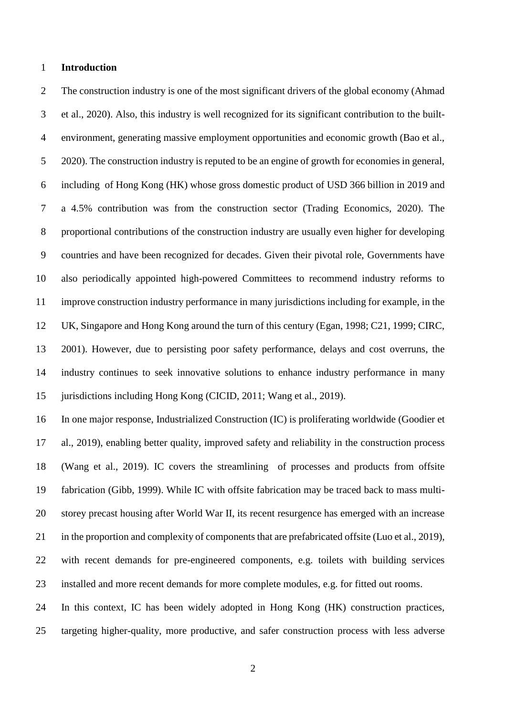### **Introduction**

 The construction industry is one of the most significant drivers of the global economy (Ahmad et al., 2020). Also, this industry is well recognized for its significant contribution to the built- environment, generating massive employment opportunities and economic growth (Bao et al., 2020). The construction industry is reputed to be an engine of growth for economies in general, including of Hong Kong (HK) whose gross domestic product of USD 366 billion in 2019 and a 4.5% contribution was from the construction sector (Trading Economics, 2020). The proportional contributions of the construction industry are usually even higher for developing countries and have been recognized for decades. Given their pivotal role, Governments have also periodically appointed high-powered Committees to recommend industry reforms to improve construction industry performance in many jurisdictions including for example, in the UK, Singapore and Hong Kong around the turn of this century (Egan, 1998; C21, 1999; CIRC, 2001). However, due to persisting poor safety performance, delays and cost overruns, the industry continues to seek innovative solutions to enhance industry performance in many jurisdictions including Hong Kong (CICID, 2011; Wang et al., 2019).

 In one major response, Industrialized Construction (IC) is proliferating worldwide (Goodier et al., 2019), enabling better quality, improved safety and reliability in the construction process (Wang et al., 2019). IC covers the streamlining of processes and products from offsite fabrication (Gibb, 1999). While IC with offsite fabrication may be traced back to mass multi- storey precast housing after World War II, its recent resurgence has emerged with an increase in the proportion and complexity of components that are prefabricated offsite (Luo et al., 2019), with recent demands for pre-engineered components, e.g. toilets with building services installed and more recent demands for more complete modules, e.g. for fitted out rooms.

 In this context, IC has been widely adopted in Hong Kong (HK) construction practices, targeting higher-quality, more productive, and safer construction process with less adverse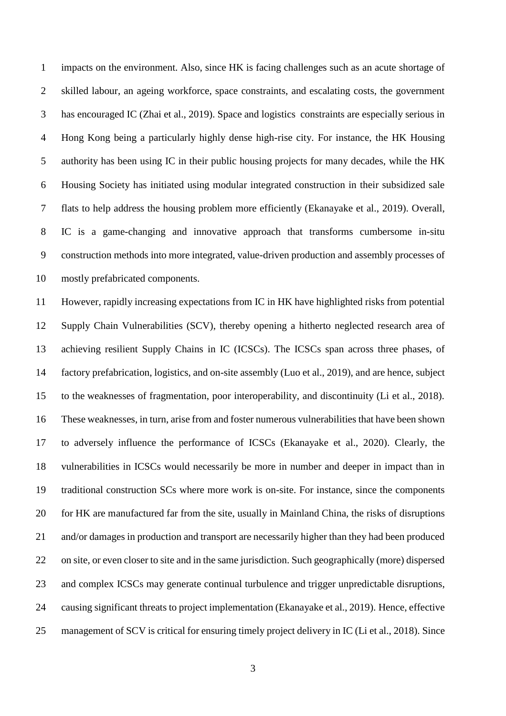impacts on the environment. Also, since HK is facing challenges such as an acute shortage of skilled labour, an ageing workforce, space constraints, and escalating costs, the government has encouraged IC (Zhai et al., 2019). Space and logistics constraints are especially serious in Hong Kong being a particularly highly dense high-rise city. For instance, the HK Housing authority has been using IC in their public housing projects for many decades, while the HK Housing Society has initiated using modular integrated construction in their subsidized sale flats to help address the housing problem more efficiently (Ekanayake et al., 2019). Overall, IC is a game-changing and innovative approach that transforms cumbersome in-situ construction methods into more integrated, value-driven production and assembly processes of mostly prefabricated components.

 However, rapidly increasing expectations from IC in HK have highlighted risks from potential Supply Chain Vulnerabilities (SCV), thereby opening a hitherto neglected research area of achieving resilient Supply Chains in IC (ICSCs). The ICSCs span across three phases, of factory prefabrication, logistics, and on-site assembly (Luo et al., 2019), and are hence, subject to the weaknesses of fragmentation, poor interoperability, and discontinuity (Li et al., 2018). These weaknesses, in turn, arise from and foster numerous vulnerabilities that have been shown to adversely influence the performance of ICSCs (Ekanayake et al., 2020). Clearly, the vulnerabilities in ICSCs would necessarily be more in number and deeper in impact than in traditional construction SCs where more work is on-site. For instance, since the components for HK are manufactured far from the site, usually in Mainland China, the risks of disruptions and/or damages in production and transport are necessarily higher than they had been produced on site, or even closer to site and in the same jurisdiction. Such geographically (more) dispersed and complex ICSCs may generate continual turbulence and trigger unpredictable disruptions, causing significant threats to project implementation (Ekanayake et al., 2019). Hence, effective management of SCV is critical for ensuring timely project delivery in IC (Li et al., 2018). Since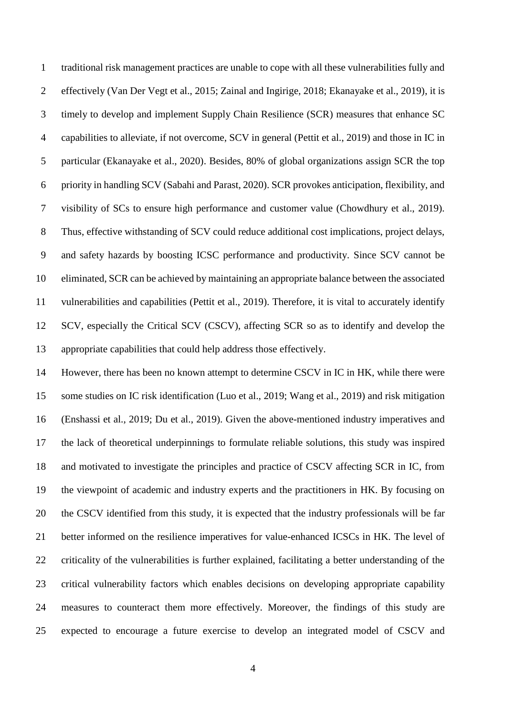traditional risk management practices are unable to cope with all these vulnerabilities fully and effectively (Van Der Vegt et al., 2015; Zainal and Ingirige, 2018; Ekanayake et al., 2019), it is timely to develop and implement Supply Chain Resilience (SCR) measures that enhance SC capabilities to alleviate, if not overcome, SCV in general (Pettit et al., 2019) and those in IC in particular (Ekanayake et al., 2020). Besides, 80% of global organizations assign SCR the top priority in handling SCV (Sabahi and Parast, 2020). SCR provokes anticipation, flexibility, and visibility of SCs to ensure high performance and customer value (Chowdhury et al., 2019). Thus, effective withstanding of SCV could reduce additional cost implications, project delays, and safety hazards by boosting ICSC performance and productivity. Since SCV cannot be eliminated, SCR can be achieved by maintaining an appropriate balance between the associated vulnerabilities and capabilities (Pettit et al., 2019). Therefore, it is vital to accurately identify SCV, especially the Critical SCV (CSCV), affecting SCR so as to identify and develop the appropriate capabilities that could help address those effectively.

 However, there has been no known attempt to determine CSCV in IC in HK, while there were some studies on IC risk identification (Luo et al., 2019; Wang et al., 2019) and risk mitigation (Enshassi et al., 2019; Du et al., 2019). Given the above-mentioned industry imperatives and the lack of theoretical underpinnings to formulate reliable solutions, this study was inspired and motivated to investigate the principles and practice of CSCV affecting SCR in IC, from the viewpoint of academic and industry experts and the practitioners in HK. By focusing on the CSCV identified from this study, it is expected that the industry professionals will be far better informed on the resilience imperatives for value-enhanced ICSCs in HK. The level of criticality of the vulnerabilities is further explained, facilitating a better understanding of the critical vulnerability factors which enables decisions on developing appropriate capability measures to counteract them more effectively. Moreover, the findings of this study are expected to encourage a future exercise to develop an integrated model of CSCV and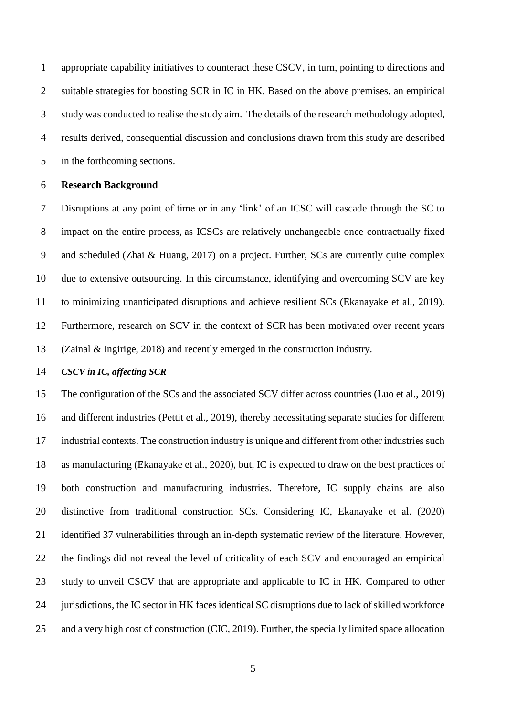appropriate capability initiatives to counteract these CSCV, in turn, pointing to directions and suitable strategies for boosting SCR in IC in HK. Based on the above premises, an empirical study was conducted to realise the study aim. The details of the research methodology adopted, results derived, consequential discussion and conclusions drawn from this study are described in the forthcoming sections.

## **Research Background**

 Disruptions at any point of time or in any 'link' of an ICSC will cascade through the SC to impact on the entire process, as ICSCs are relatively unchangeable once contractually fixed and scheduled (Zhai & Huang, 2017) on a project. Further, SCs are currently quite complex due to extensive outsourcing. In this circumstance, identifying and overcoming SCV are key to minimizing unanticipated disruptions and achieve resilient SCs (Ekanayake et al., 2019). Furthermore, research on SCV in the context of SCR has been motivated over recent years (Zainal & Ingirige, 2018) and recently emerged in the construction industry.

#### *CSCV in IC, affecting SCR*

 The configuration of the SCs and the associated SCV differ across countries (Luo et al., 2019) and different industries (Pettit et al., 2019), thereby necessitating separate studies for different industrial contexts. The construction industry is unique and different from other industries such as manufacturing (Ekanayake et al., 2020), but, IC is expected to draw on the best practices of both construction and manufacturing industries. Therefore, IC supply chains are also distinctive from traditional construction SCs. Considering IC, Ekanayake et al. (2020) identified 37 vulnerabilities through an in-depth systematic review of the literature. However, the findings did not reveal the level of criticality of each SCV and encouraged an empirical study to unveil CSCV that are appropriate and applicable to IC in HK. Compared to other jurisdictions, the IC sector in HK facesidentical SC disruptions due to lack of skilled workforce and a very high cost of construction (CIC, 2019). Further, the specially limited space allocation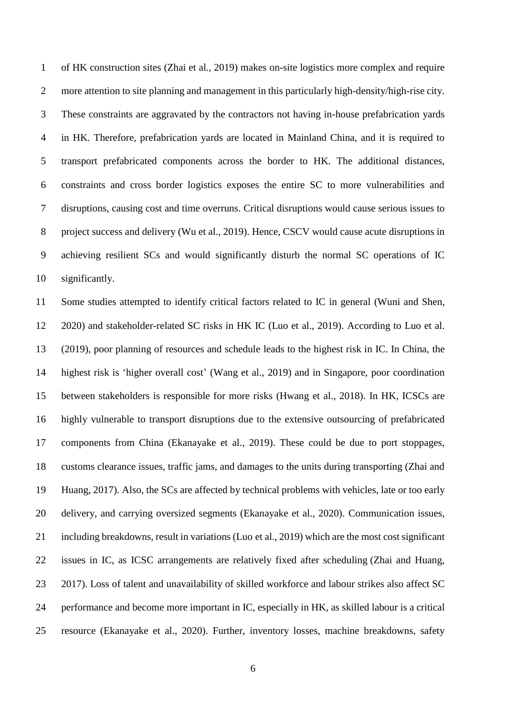of HK construction sites (Zhai et al., 2019) makes on-site logistics more complex and require more attention to site planning and management in this particularly high-density/high-rise city. These constraints are aggravated by the contractors not having in-house prefabrication yards in HK. Therefore, prefabrication yards are located in Mainland China, and it is required to transport prefabricated components across the border to HK. The additional distances, constraints and cross border logistics exposes the entire SC to more vulnerabilities and disruptions, causing cost and time overruns. Critical disruptions would cause serious issues to project success and delivery (Wu et al., 2019). Hence, CSCV would cause acute disruptions in achieving resilient SCs and would significantly disturb the normal SC operations of IC significantly.

 Some studies attempted to identify critical factors related to IC in general (Wuni and Shen, 2020) and stakeholder-related SC risks in HK IC (Luo et al., 2019). According to Luo et al. (2019), poor planning of resources and schedule leads to the highest risk in IC. In China, the highest risk is 'higher overall cost' (Wang et al., 2019) and in Singapore, poor coordination between stakeholders is responsible for more risks (Hwang et al., 2018). In HK, ICSCs are highly vulnerable to transport disruptions due to the extensive outsourcing of prefabricated components from China (Ekanayake et al., 2019). These could be due to port stoppages, customs clearance issues, traffic jams, and damages to the units during transporting (Zhai and Huang, 2017). Also, the SCs are affected by technical problems with vehicles, late or too early delivery, and carrying oversized segments (Ekanayake et al., 2020). Communication issues, including breakdowns, result in variations (Luo et al., 2019) which are the most cost significant issues in IC, as ICSC arrangements are relatively fixed after scheduling (Zhai and Huang, 2017). Loss of talent and unavailability of skilled workforce and labour strikes also affect SC performance and become more important in IC, especially in HK, as skilled labour is a critical resource (Ekanayake et al., 2020). Further, inventory losses, machine breakdowns, safety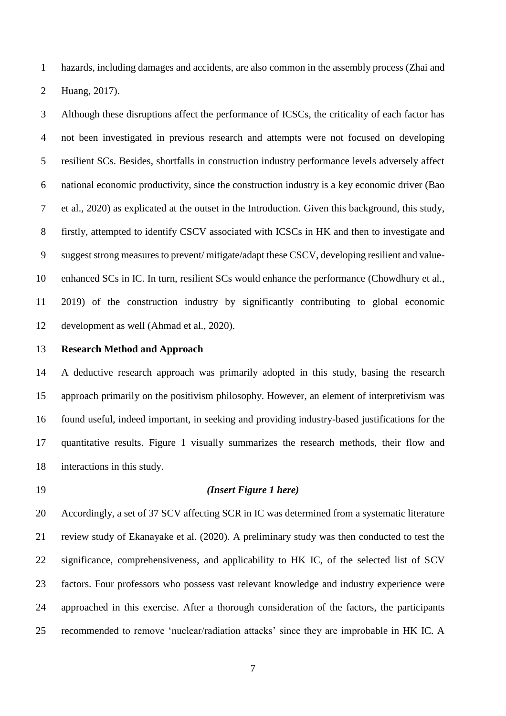hazards, including damages and accidents, are also common in the assembly process (Zhai and Huang, 2017).

 Although these disruptions affect the performance of ICSCs, the criticality of each factor has not been investigated in previous research and attempts were not focused on developing resilient SCs. Besides, shortfalls in construction industry performance levels adversely affect national economic productivity, since the construction industry is a key economic driver (Bao et al., 2020) as explicated at the outset in the Introduction. Given this background, this study, firstly, attempted to identify CSCV associated with ICSCs in HK and then to investigate and suggest strong measures to prevent/ mitigate/adapt these CSCV, developing resilient and value- enhanced SCs in IC. In turn, resilient SCs would enhance the performance (Chowdhury et al., 2019) of the construction industry by significantly contributing to global economic development as well (Ahmad et al., 2020).

#### **Research Method and Approach**

 A deductive research approach was primarily adopted in this study, basing the research approach primarily on the positivism philosophy. However, an element of interpretivism was found useful, indeed important, in seeking and providing industry-based justifications for the quantitative results. Figure 1 visually summarizes the research methods, their flow and interactions in this study.

### *(Insert Figure 1 here)*

 Accordingly, a set of 37 SCV affecting SCR in IC was determined from a systematic literature review study of Ekanayake et al. (2020). A preliminary study was then conducted to test the significance, comprehensiveness, and applicability to HK IC, of the selected list of SCV factors. Four professors who possess vast relevant knowledge and industry experience were approached in this exercise. After a thorough consideration of the factors, the participants recommended to remove 'nuclear/radiation attacks' since they are improbable in HK IC. A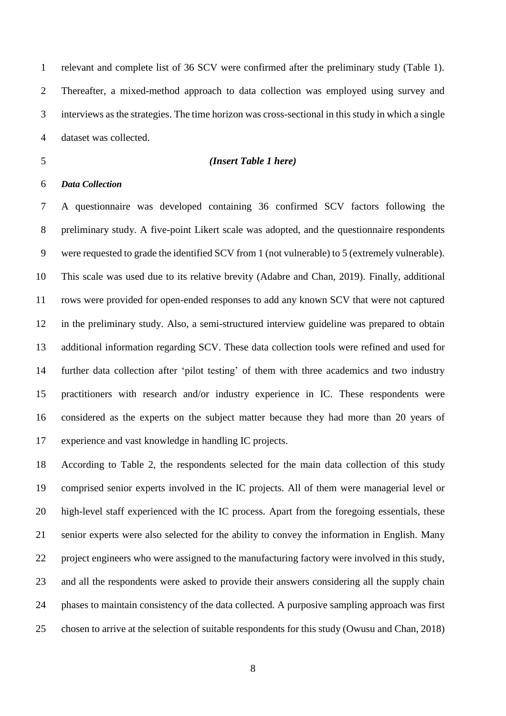relevant and complete list of 36 SCV were confirmed after the preliminary study (Table 1). Thereafter, a mixed-method approach to data collection was employed using survey and interviews as the strategies. The time horizon was cross-sectional in this study in which a single dataset was collected.

#### *(Insert Table 1 here)*

## *Data Collection*

 A questionnaire was developed containing 36 confirmed SCV factors following the preliminary study. A five-point Likert scale was adopted, and the questionnaire respondents were requested to grade the identified SCV from 1 (not vulnerable) to 5 (extremely vulnerable). This scale was used due to its relative brevity (Adabre and Chan, 2019). Finally, additional rows were provided for open-ended responses to add any known SCV that were not captured in the preliminary study. Also, a semi-structured interview guideline was prepared to obtain additional information regarding SCV. These data collection tools were refined and used for further data collection after 'pilot testing' of them with three academics and two industry practitioners with research and/or industry experience in IC. These respondents were considered as the experts on the subject matter because they had more than 20 years of experience and vast knowledge in handling IC projects.

 According to Table 2, the respondents selected for the main data collection of this study comprised senior experts involved in the IC projects. All of them were managerial level or high-level staff experienced with the IC process. Apart from the foregoing essentials, these senior experts were also selected for the ability to convey the information in English. Many project engineers who were assigned to the manufacturing factory were involved in this study, and all the respondents were asked to provide their answers considering all the supply chain phases to maintain consistency of the data collected. A purposive sampling approach was first chosen to arrive at the selection of suitable respondents for this study (Owusu and Chan, 2018)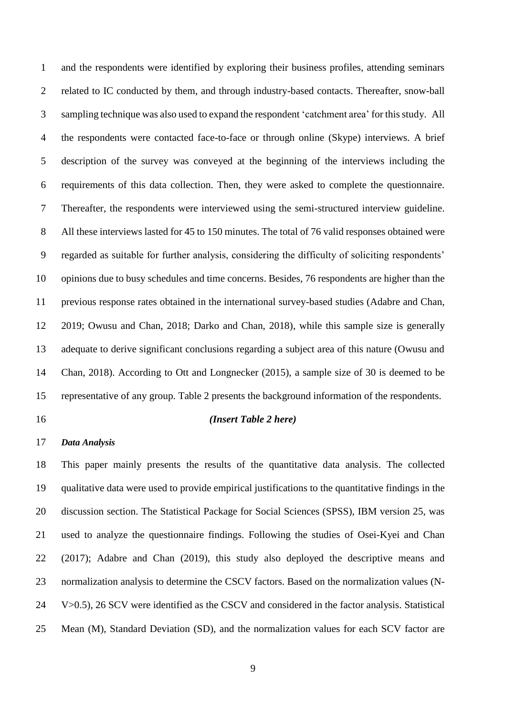and the respondents were identified by exploring their business profiles, attending seminars related to IC conducted by them, and through industry-based contacts. Thereafter, snow-ball sampling technique was also used to expand the respondent 'catchment area' for this study. All the respondents were contacted face-to-face or through online (Skype) interviews. A brief description of the survey was conveyed at the beginning of the interviews including the requirements of this data collection. Then, they were asked to complete the questionnaire. Thereafter, the respondents were interviewed using the semi-structured interview guideline. All these interviews lasted for 45 to 150 minutes. The total of 76 valid responses obtained were regarded as suitable for further analysis, considering the difficulty of soliciting respondents' opinions due to busy schedules and time concerns. Besides, 76 respondents are higher than the previous response rates obtained in the international survey-based studies (Adabre and Chan, 2019; Owusu and Chan, 2018; Darko and Chan, 2018), while this sample size is generally adequate to derive significant conclusions regarding a subject area of this nature (Owusu and Chan, 2018). According to Ott and Longnecker (2015), a sample size of 30 is deemed to be representative of any group. Table 2 presents the background information of the respondents.

#### *(Insert Table 2 here)*

## *Data Analysis*

 This paper mainly presents the results of the quantitative data analysis. The collected qualitative data were used to provide empirical justifications to the quantitative findings in the discussion section. The Statistical Package for Social Sciences (SPSS), IBM version 25, was used to analyze the questionnaire findings. Following the studies of Osei-Kyei and Chan (2017); Adabre and Chan (2019), this study also deployed the descriptive means and normalization analysis to determine the CSCV factors. Based on the normalization values (N- V>0.5), 26 SCV were identified as the CSCV and considered in the factor analysis. Statistical Mean (M), Standard Deviation (SD), and the normalization values for each SCV factor are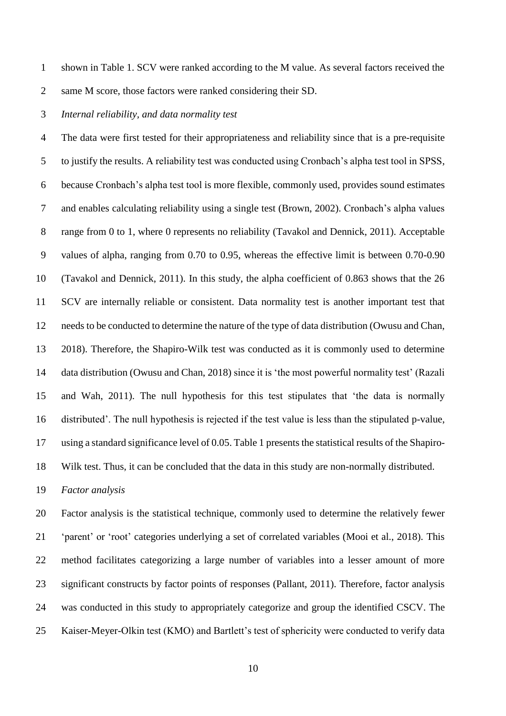shown in Table 1. SCV were ranked according to the M value. As several factors received the same M score, those factors were ranked considering their SD.

#### *Internal reliability, and data normality test*

 The data were first tested for their appropriateness and reliability since that is a pre-requisite to justify the results. A reliability test was conducted using Cronbach's alpha test tool in SPSS, because Cronbach's alpha test tool is more flexible, commonly used, provides sound estimates and enables calculating reliability using a single test (Brown, 2002). Cronbach's alpha values range from 0 to 1, where 0 represents no reliability (Tavakol and Dennick, 2011). Acceptable values of alpha, ranging from 0.70 to 0.95, whereas the effective limit is between 0.70-0.90 (Tavakol and Dennick, 2011). In this study, the alpha coefficient of 0.863 shows that the 26 SCV are internally reliable or consistent. Data normality test is another important test that needs to be conducted to determine the nature of the type of data distribution (Owusu and Chan, 2018). Therefore, the Shapiro-Wilk test was conducted as it is commonly used to determine data distribution (Owusu and Chan, 2018) since it is 'the most powerful normality test' (Razali and Wah, 2011). The null hypothesis for this test stipulates that 'the data is normally distributed'. The null hypothesis is rejected if the test value is less than the stipulated p-value, using a standard significance level of 0.05. Table 1 presents the statistical results of the Shapiro-Wilk test. Thus, it can be concluded that the data in this study are non-normally distributed.

*Factor analysis*

 Factor analysis is the statistical technique, commonly used to determine the relatively fewer 'parent' or 'root' categories underlying a set of correlated variables (Mooi et al., 2018). This method facilitates categorizing a large number of variables into a lesser amount of more significant constructs by factor points of responses (Pallant, 2011). Therefore, factor analysis was conducted in this study to appropriately categorize and group the identified CSCV. The Kaiser-Meyer-Olkin test (KMO) and Bartlett's test of sphericity were conducted to verify data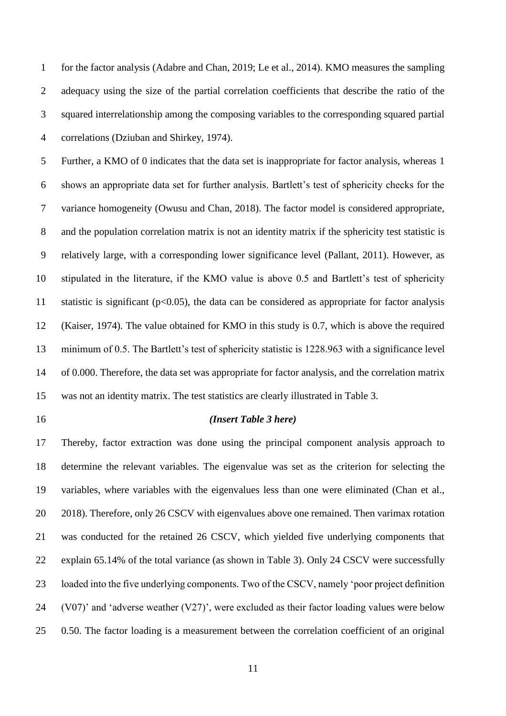for the factor analysis (Adabre and Chan, 2019; Le et al., 2014). KMO measures the sampling adequacy using the size of the partial correlation coefficients that describe the ratio of the squared interrelationship among the composing variables to the corresponding squared partial correlations (Dziuban and Shirkey, 1974).

 Further, a KMO of 0 indicates that the data set is inappropriate for factor analysis, whereas 1 shows an appropriate data set for further analysis. Bartlett's test of sphericity checks for the variance homogeneity (Owusu and Chan, 2018). The factor model is considered appropriate, and the population correlation matrix is not an identity matrix if the sphericity test statistic is relatively large, with a corresponding lower significance level (Pallant, 2011). However, as stipulated in the literature, if the KMO value is above 0.5 and Bartlett's test of sphericity 11 statistic is significant ( $p<0.05$ ), the data can be considered as appropriate for factor analysis (Kaiser, 1974). The value obtained for KMO in this study is 0.7, which is above the required minimum of 0.5. The Bartlett's test of sphericity statistic is 1228.963 with a significance level of 0.000. Therefore, the data set was appropriate for factor analysis, and the correlation matrix was not an identity matrix. The test statistics are clearly illustrated in Table 3.

#### *(Insert Table 3 here)*

 Thereby, factor extraction was done using the principal component analysis approach to determine the relevant variables. The eigenvalue was set as the criterion for selecting the variables, where variables with the eigenvalues less than one were eliminated (Chan et al., 20 2018). Therefore, only 26 CSCV with eigenvalues above one remained. Then varimax rotation was conducted for the retained 26 CSCV, which yielded five underlying components that explain 65.14% of the total variance (as shown in Table 3). Only 24 CSCV were successfully loaded into the five underlying components. Two of the CSCV, namely 'poor project definition (V07)' and 'adverse weather (V27)', were excluded as their factor loading values were below 0.50. The factor loading is a measurement between the correlation coefficient of an original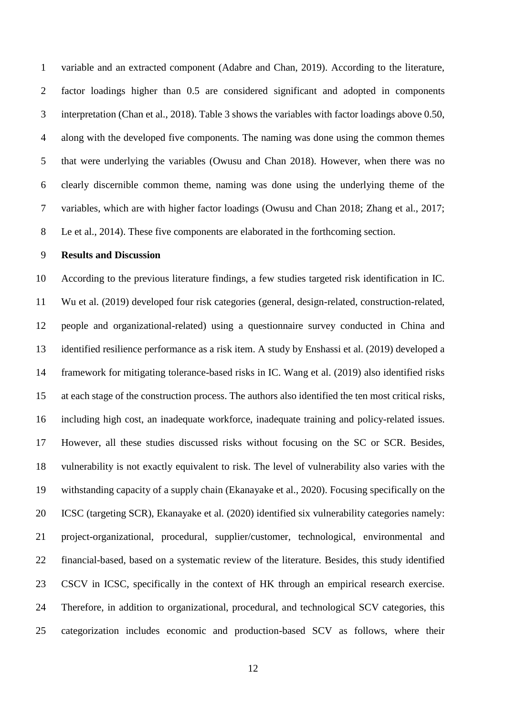variable and an extracted component (Adabre and Chan, 2019). According to the literature, factor loadings higher than 0.5 are considered significant and adopted in components interpretation (Chan et al., 2018). Table 3 shows the variables with factor loadings above 0.50, along with the developed five components. The naming was done using the common themes that were underlying the variables (Owusu and Chan 2018). However, when there was no clearly discernible common theme, naming was done using the underlying theme of the variables, which are with higher factor loadings (Owusu and Chan 2018; Zhang et al., 2017; Le et al., 2014). These five components are elaborated in the forthcoming section.

#### **Results and Discussion**

 According to the previous literature findings, a few studies targeted risk identification in IC. Wu et al. (2019) developed four risk categories (general, design-related, construction-related, people and organizational-related) using a questionnaire survey conducted in China and identified resilience performance as a risk item. A study by Enshassi et al. (2019) developed a framework for mitigating tolerance-based risks in IC. Wang et al. (2019) also identified risks at each stage of the construction process. The authors also identified the ten most critical risks, including high cost, an inadequate workforce, inadequate training and policy-related issues. However, all these studies discussed risks without focusing on the SC or SCR. Besides, vulnerability is not exactly equivalent to risk. The level of vulnerability also varies with the withstanding capacity of a supply chain (Ekanayake et al., 2020). Focusing specifically on the ICSC (targeting SCR), Ekanayake et al. (2020) identified six vulnerability categories namely: project-organizational, procedural, supplier/customer, technological, environmental and financial-based, based on a systematic review of the literature. Besides, this study identified CSCV in ICSC, specifically in the context of HK through an empirical research exercise. Therefore, in addition to organizational, procedural, and technological SCV categories, this categorization includes economic and production-based SCV as follows, where their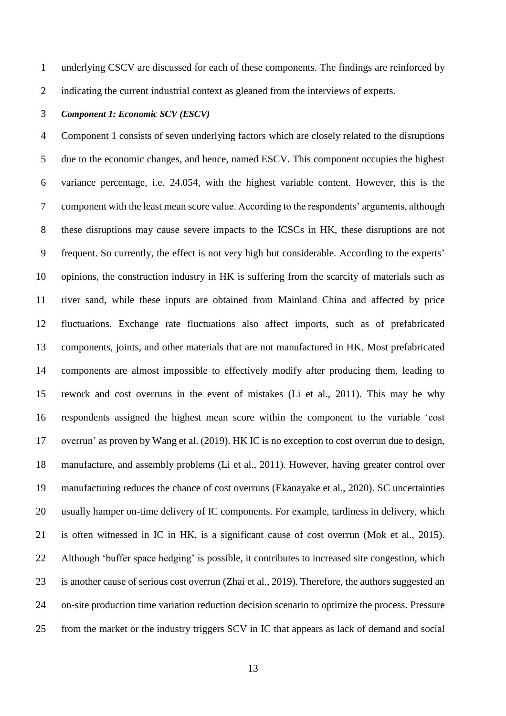underlying CSCV are discussed for each of these components. The findings are reinforced by

indicating the current industrial context as gleaned from the interviews of experts.

#### *Component 1: Economic SCV (ESCV)*

 Component 1 consists of seven underlying factors which are closely related to the disruptions due to the economic changes, and hence, named ESCV. This component occupies the highest variance percentage, i.e. 24.054, with the highest variable content. However, this is the component with the least mean score value. According to the respondents' arguments, although these disruptions may cause severe impacts to the ICSCs in HK, these disruptions are not frequent. So currently, the effect is not very high but considerable. According to the experts' opinions, the construction industry in HK is suffering from the scarcity of materials such as river sand, while these inputs are obtained from Mainland China and affected by price fluctuations. Exchange rate fluctuations also affect imports, such as of prefabricated components, joints, and other materials that are not manufactured in HK. Most prefabricated components are almost impossible to effectively modify after producing them, leading to rework and cost overruns in the event of mistakes (Li et al., 2011). This may be why respondents assigned the highest mean score within the component to the variable 'cost overrun' as proven by Wang et al. (2019). HK IC is no exception to cost overrun due to design, manufacture, and assembly problems (Li et al., 2011). However, having greater control over manufacturing reduces the chance of cost overruns (Ekanayake et al., 2020). SC uncertainties usually hamper on-time delivery of IC components. For example, tardiness in delivery, which is often witnessed in IC in HK, is a significant cause of cost overrun (Mok et al., 2015). Although 'buffer space hedging' is possible, it contributes to increased site congestion, which is another cause of serious cost overrun (Zhai et al., 2019). Therefore, the authors suggested an on-site production time variation reduction decision scenario to optimize the process. Pressure from the market or the industry triggers SCV in IC that appears as lack of demand and social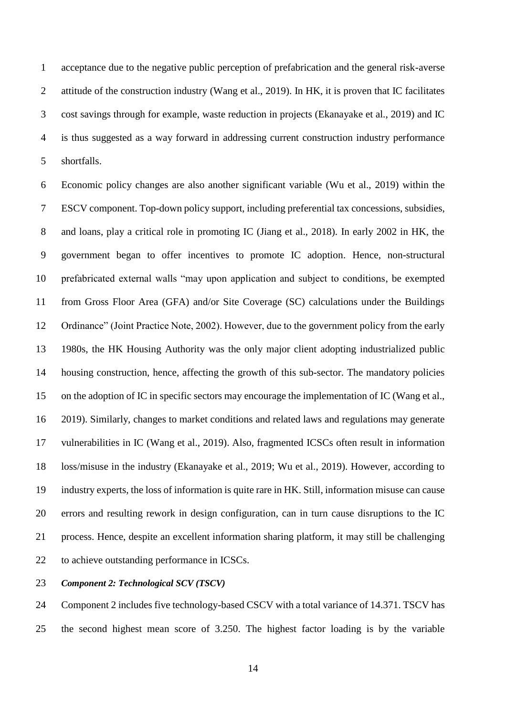acceptance due to the negative public perception of prefabrication and the general risk-averse attitude of the construction industry (Wang et al., 2019). In HK, it is proven that IC facilitates cost savings through for example, waste reduction in projects (Ekanayake et al., 2019) and IC is thus suggested as a way forward in addressing current construction industry performance shortfalls.

 Economic policy changes are also another significant variable (Wu et al., 2019) within the ESCV component. Top-down policy support, including preferential tax concessions, subsidies, and loans, play a critical role in promoting IC (Jiang et al., 2018). In early 2002 in HK, the government began to offer incentives to promote IC adoption. Hence, non-structural prefabricated external walls "may upon application and subject to conditions, be exempted from Gross Floor Area (GFA) and/or Site Coverage (SC) calculations under the Buildings Ordinance" (Joint Practice Note, 2002). However, due to the government policy from the early 1980s, the HK Housing Authority was the only major client adopting industrialized public housing construction, hence, affecting the growth of this sub-sector. The mandatory policies on the adoption of IC in specific sectors may encourage the implementation of IC (Wang et al., 2019). Similarly, changes to market conditions and related laws and regulations may generate vulnerabilities in IC (Wang et al., 2019). Also, fragmented ICSCs often result in information loss/misuse in the industry (Ekanayake et al., 2019; Wu et al., 2019). However, according to industry experts, the loss of information is quite rare in HK. Still, information misuse can cause errors and resulting rework in design configuration, can in turn cause disruptions to the IC process. Hence, despite an excellent information sharing platform, it may still be challenging to achieve outstanding performance in ICSCs.

*Component 2: Technological SCV (TSCV)*

 Component 2 includes five technology-based CSCV with a total variance of 14.371. TSCV has the second highest mean score of 3.250. The highest factor loading is by the variable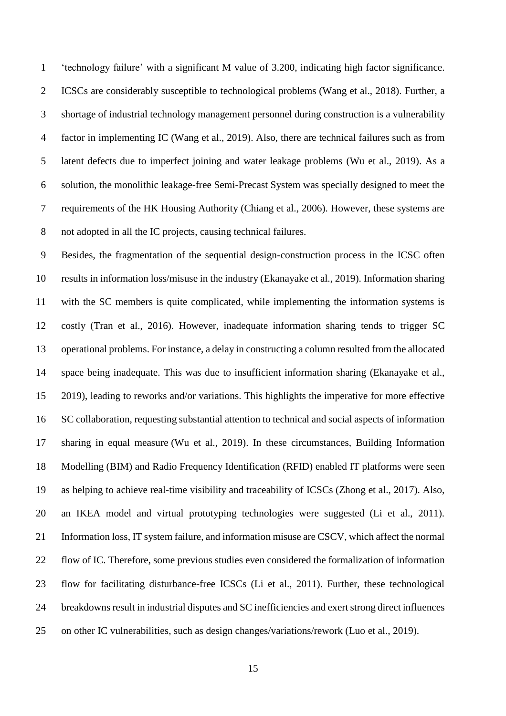'technology failure' with a significant M value of 3.200, indicating high factor significance. ICSCs are considerably susceptible to technological problems (Wang et al., 2018). Further, a shortage of industrial technology management personnel during construction is a vulnerability factor in implementing IC (Wang et al., 2019). Also, there are technical failures such as from latent defects due to imperfect joining and water leakage problems (Wu et al., 2019). As a solution, the monolithic leakage-free Semi-Precast System was specially designed to meet the requirements of the HK Housing Authority (Chiang et al., 2006). However, these systems are not adopted in all the IC projects, causing technical failures.

 Besides, the fragmentation of the sequential design-construction process in the ICSC often results in information loss/misuse in the industry (Ekanayake et al., 2019). Information sharing with the SC members is quite complicated, while implementing the information systems is costly (Tran et al., 2016). However, inadequate information sharing tends to trigger SC operational problems. For instance, a delay in constructing a column resulted from the allocated space being inadequate. This was due to insufficient information sharing (Ekanayake et al., 2019), leading to reworks and/or variations. This highlights the imperative for more effective SC collaboration, requesting substantial attention to technical and social aspects of information sharing in equal measure (Wu et al., 2019). In these circumstances, Building Information Modelling (BIM) and Radio Frequency Identification (RFID) enabled IT platforms were seen as helping to achieve real-time visibility and traceability of ICSCs (Zhong et al., 2017). Also, an IKEA model and virtual prototyping technologies were suggested (Li et al., 2011). Information loss, IT system failure, and information misuse are CSCV, which affect the normal flow of IC. Therefore, some previous studies even considered the formalization of information flow for facilitating disturbance-free ICSCs (Li et al., 2011). Further, these technological breakdowns result in industrial disputes and SC inefficiencies and exert strong direct influences on other IC vulnerabilities, such as design changes/variations/rework (Luo et al., 2019).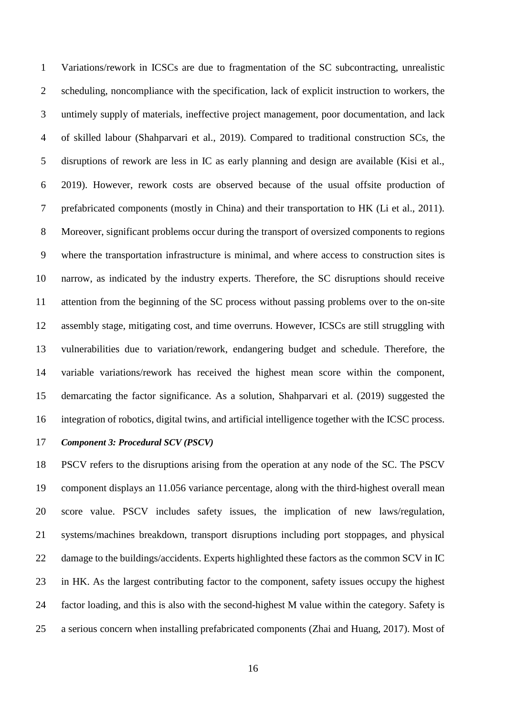Variations/rework in ICSCs are due to fragmentation of the SC subcontracting, unrealistic scheduling, noncompliance with the specification, lack of explicit instruction to workers, the untimely supply of materials, ineffective project management, poor documentation, and lack of skilled labour (Shahparvari et al., 2019). Compared to traditional construction SCs, the disruptions of rework are less in IC as early planning and design are available (Kisi et al., 2019). However, rework costs are observed because of the usual offsite production of prefabricated components (mostly in China) and their transportation to HK (Li et al., 2011). Moreover, significant problems occur during the transport of oversized components to regions where the transportation infrastructure is minimal, and where access to construction sites is narrow, as indicated by the industry experts. Therefore, the SC disruptions should receive attention from the beginning of the SC process without passing problems over to the on-site assembly stage, mitigating cost, and time overruns. However, ICSCs are still struggling with vulnerabilities due to variation/rework, endangering budget and schedule. Therefore, the variable variations/rework has received the highest mean score within the component, demarcating the factor significance. As a solution, Shahparvari et al. (2019) suggested the integration of robotics, digital twins, and artificial intelligence together with the ICSC process.

## *Component 3: Procedural SCV (PSCV)*

 PSCV refers to the disruptions arising from the operation at any node of the SC. The PSCV component displays an 11.056 variance percentage, along with the third-highest overall mean score value. PSCV includes safety issues, the implication of new laws/regulation, systems/machines breakdown, transport disruptions including port stoppages, and physical 22 damage to the buildings/accidents. Experts highlighted these factors as the common SCV in IC in HK. As the largest contributing factor to the component, safety issues occupy the highest factor loading, and this is also with the second-highest M value within the category. Safety is a serious concern when installing prefabricated components (Zhai and Huang, 2017). Most of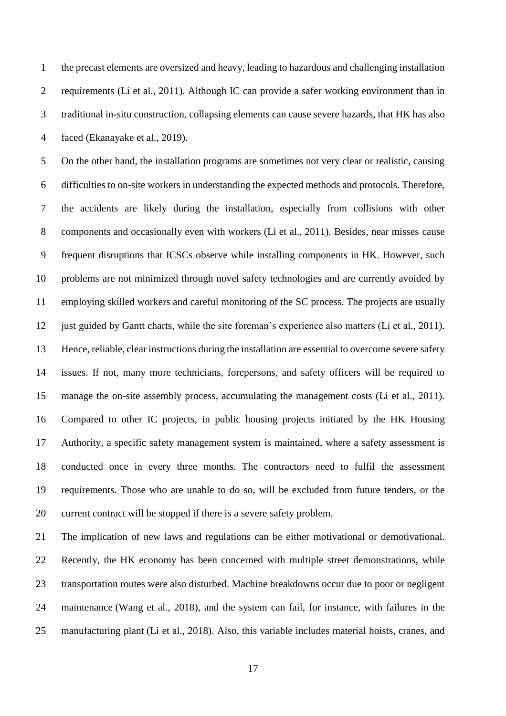the precast elements are oversized and heavy, leading to hazardous and challenging installation requirements (Li et al., 2011). Although IC can provide a safer working environment than in traditional in-situ construction, collapsing elements can cause severe hazards, that HK has also faced (Ekanayake et al., 2019).

 On the other hand, the installation programs are sometimes not very clear or realistic, causing difficulties to on-site workers in understanding the expected methods and protocols. Therefore, the accidents are likely during the installation, especially from collisions with other components and occasionally even with workers (Li et al., 2011). Besides, near misses cause frequent disruptions that ICSCs observe while installing components in HK. However, such problems are not minimized through novel safety technologies and are currently avoided by employing skilled workers and careful monitoring of the SC process. The projects are usually 12 just guided by Gantt charts, while the site foreman's experience also matters (Li et al., 2011). Hence, reliable, clear instructions during the installation are essential to overcome severe safety issues. If not, many more technicians, forepersons, and safety officers will be required to manage the on-site assembly process, accumulating the management costs (Li et al., 2011). Compared to other IC projects, in public housing projects initiated by the HK Housing Authority, a specific safety management system is maintained, where a safety assessment is conducted once in every three months. The contractors need to fulfil the assessment requirements. Those who are unable to do so, will be excluded from future tenders, or the current contract will be stopped if there is a severe safety problem.

 The implication of new laws and regulations can be either motivational or demotivational. Recently, the HK economy has been concerned with multiple street demonstrations, while transportation routes were also disturbed. Machine breakdowns occur due to poor or negligent maintenance (Wang et al., 2018), and the system can fail, for instance, with failures in the manufacturing plant (Li et al., 2018). Also, this variable includes material hoists, cranes, and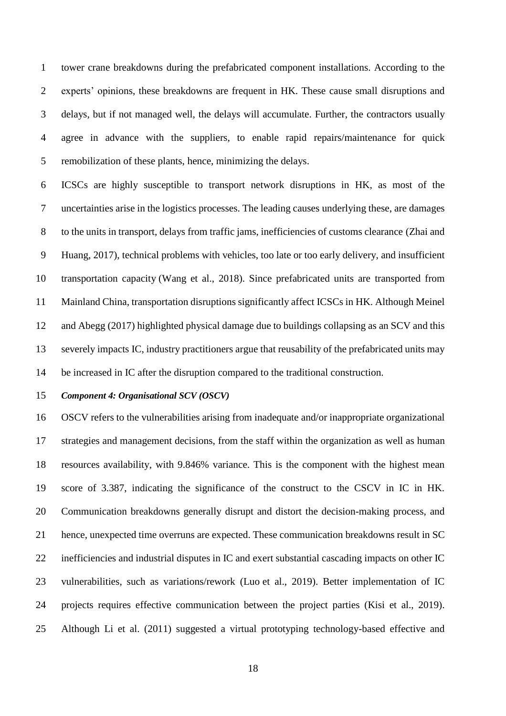tower crane breakdowns during the prefabricated component installations. According to the experts' opinions, these breakdowns are frequent in HK. These cause small disruptions and delays, but if not managed well, the delays will accumulate. Further, the contractors usually agree in advance with the suppliers, to enable rapid repairs/maintenance for quick remobilization of these plants, hence, minimizing the delays.

 ICSCs are highly susceptible to transport network disruptions in HK, as most of the uncertainties arise in the logistics processes. The leading causes underlying these, are damages to the units in transport, delays from traffic jams, inefficiencies of customs clearance (Zhai and Huang, 2017), technical problems with vehicles, too late or too early delivery, and insufficient transportation capacity (Wang et al., 2018). Since prefabricated units are transported from Mainland China, transportation disruptions significantly affect ICSCs in HK. Although Meinel and Abegg (2017) highlighted physical damage due to buildings collapsing as an SCV and this severely impacts IC, industry practitioners argue that reusability of the prefabricated units may be increased in IC after the disruption compared to the traditional construction.

## *Component 4: Organisational SCV (OSCV)*

 OSCV refers to the vulnerabilities arising from inadequate and/or inappropriate organizational strategies and management decisions, from the staff within the organization as well as human resources availability, with 9.846% variance. This is the component with the highest mean score of 3.387, indicating the significance of the construct to the CSCV in IC in HK. Communication breakdowns generally disrupt and distort the decision-making process, and hence, unexpected time overruns are expected. These communication breakdowns result in SC inefficiencies and industrial disputes in IC and exert substantial cascading impacts on other IC vulnerabilities, such as variations/rework (Luo et al., 2019). Better implementation of IC projects requires effective communication between the project parties (Kisi et al., 2019). Although Li et al. (2011) suggested a virtual prototyping technology-based effective and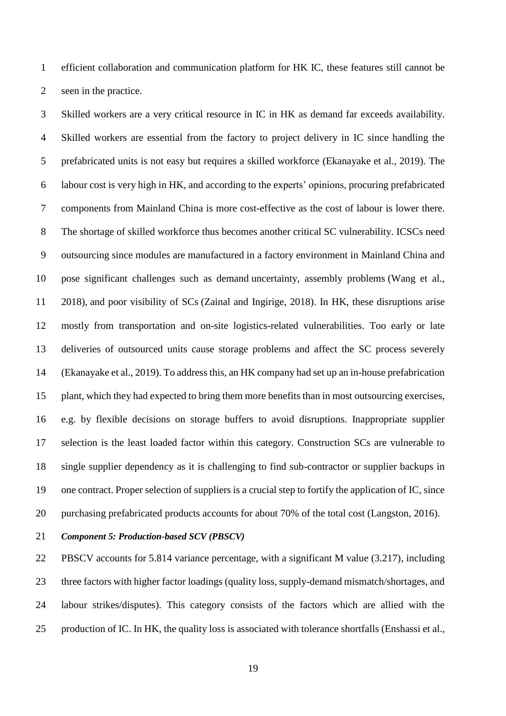efficient collaboration and communication platform for HK IC, these features still cannot be seen in the practice.

 Skilled workers are a very critical resource in IC in HK as demand far exceeds availability. Skilled workers are essential from the factory to project delivery in IC since handling the prefabricated units is not easy but requires a skilled workforce (Ekanayake et al., 2019). The labour cost is very high in HK, and according to the experts' opinions, procuring prefabricated components from Mainland China is more cost-effective as the cost of labour is lower there. The shortage of skilled workforce thus becomes another critical SC vulnerability. ICSCs need outsourcing since modules are manufactured in a factory environment in Mainland China and pose significant challenges such as demand uncertainty, assembly problems (Wang et al., 2018), and poor visibility of SCs (Zainal and Ingirige, 2018). In HK, these disruptions arise mostly from transportation and on-site logistics-related vulnerabilities. Too early or late deliveries of outsourced units cause storage problems and affect the SC process severely (Ekanayake et al., 2019). To address this, an HK company had set up an in-house prefabrication plant, which they had expected to bring them more benefits than in most outsourcing exercises, e.g. by flexible decisions on storage buffers to avoid disruptions. Inappropriate supplier selection is the least loaded factor within this category. Construction SCs are vulnerable to single supplier dependency as it is challenging to find sub-contractor or supplier backups in one contract. Proper selection of suppliers is a crucial step to fortify the application of IC, since purchasing prefabricated products accounts for about 70% of the total cost (Langston, 2016).

*Component 5: Production-based SCV (PBSCV)*

 PBSCV accounts for 5.814 variance percentage, with a significant M value (3.217), including three factors with higher factor loadings (quality loss, supply-demand mismatch/shortages, and labour strikes/disputes). This category consists of the factors which are allied with the production of IC. In HK, the quality loss is associated with tolerance shortfalls (Enshassi et al.,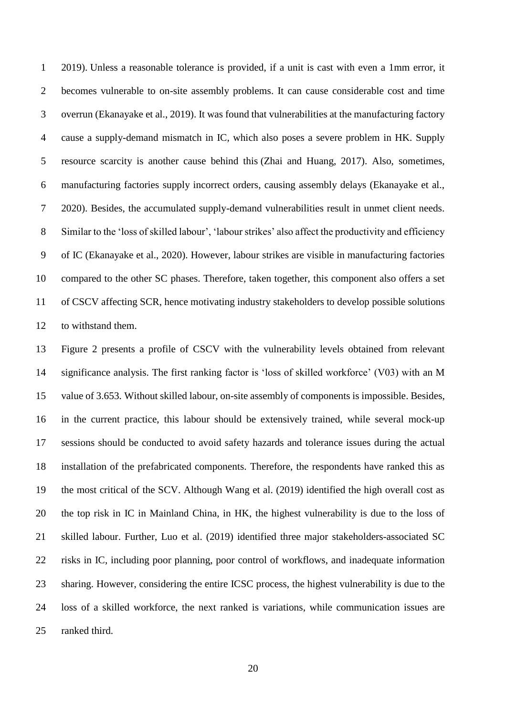2019). Unless a reasonable tolerance is provided, if a unit is cast with even a 1mm error, it becomes vulnerable to on-site assembly problems. It can cause considerable cost and time overrun (Ekanayake et al., 2019). It was found that vulnerabilities at the manufacturing factory cause a supply-demand mismatch in IC, which also poses a severe problem in HK. Supply resource scarcity is another cause behind this (Zhai and Huang, 2017). Also, sometimes, manufacturing factories supply incorrect orders, causing assembly delays (Ekanayake et al., 2020). Besides, the accumulated supply-demand vulnerabilities result in unmet client needs. Similar to the 'loss of skilled labour', 'labour strikes' also affect the productivity and efficiency of IC (Ekanayake et al., 2020). However, labour strikes are visible in manufacturing factories compared to the other SC phases. Therefore, taken together, this component also offers a set of CSCV affecting SCR, hence motivating industry stakeholders to develop possible solutions to withstand them.

 Figure 2 presents a profile of CSCV with the vulnerability levels obtained from relevant significance analysis. The first ranking factor is 'loss of skilled workforce' (V03) with an M value of 3.653. Without skilled labour, on-site assembly of components is impossible. Besides, in the current practice, this labour should be extensively trained, while several mock-up sessions should be conducted to avoid safety hazards and tolerance issues during the actual installation of the prefabricated components. Therefore, the respondents have ranked this as the most critical of the SCV. Although Wang et al. (2019) identified the high overall cost as the top risk in IC in Mainland China, in HK, the highest vulnerability is due to the loss of skilled labour. Further, Luo et al. (2019) identified three major stakeholders-associated SC risks in IC, including poor planning, poor control of workflows, and inadequate information sharing. However, considering the entire ICSC process, the highest vulnerability is due to the loss of a skilled workforce, the next ranked is variations, while communication issues are ranked third.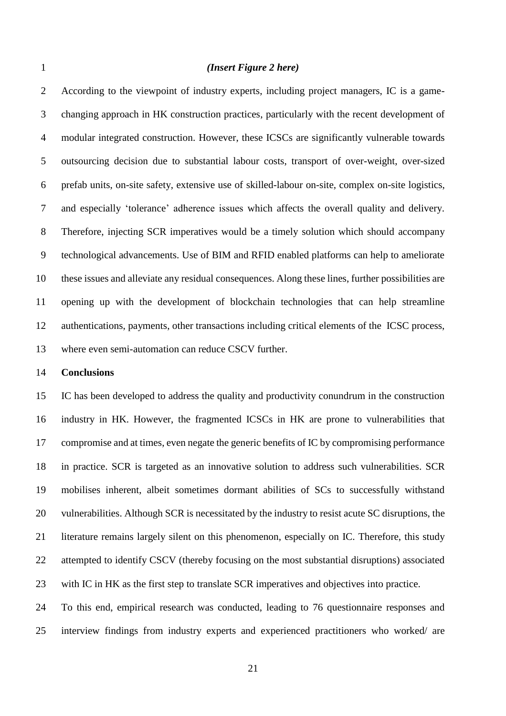#### *(Insert Figure 2 here)*

 According to the viewpoint of industry experts, including project managers, IC is a game- changing approach in HK construction practices, particularly with the recent development of modular integrated construction. However, these ICSCs are significantly vulnerable towards outsourcing decision due to substantial labour costs, transport of over-weight, over-sized prefab units, on-site safety, extensive use of skilled-labour on-site, complex on-site logistics, and especially 'tolerance' adherence issues which affects the overall quality and delivery. Therefore, injecting SCR imperatives would be a timely solution which should accompany technological advancements. Use of BIM and RFID enabled platforms can help to ameliorate these issues and alleviate any residual consequences. Along these lines, further possibilities are opening up with the development of blockchain technologies that can help streamline authentications, payments, other transactions including critical elements of the ICSC process, where even semi-automation can reduce CSCV further.

#### **Conclusions**

 IC has been developed to address the quality and productivity conundrum in the construction industry in HK. However, the fragmented ICSCs in HK are prone to vulnerabilities that compromise and at times, even negate the generic benefits of IC by compromising performance in practice. SCR is targeted as an innovative solution to address such vulnerabilities. SCR mobilises inherent, albeit sometimes dormant abilities of SCs to successfully withstand vulnerabilities. Although SCR is necessitated by the industry to resist acute SC disruptions, the literature remains largely silent on this phenomenon, especially on IC. Therefore, this study 22 attempted to identify CSCV (thereby focusing on the most substantial disruptions) associated with IC in HK as the first step to translate SCR imperatives and objectives into practice.

 To this end, empirical research was conducted, leading to 76 questionnaire responses and interview findings from industry experts and experienced practitioners who worked/ are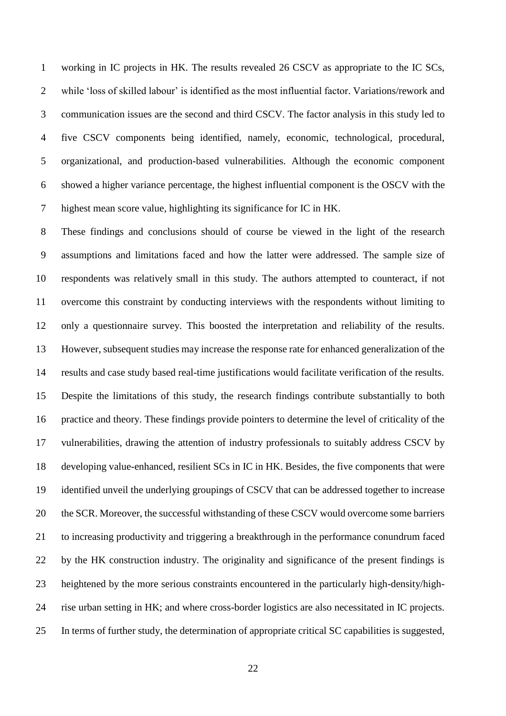working in IC projects in HK. The results revealed 26 CSCV as appropriate to the IC SCs, while 'loss of skilled labour' is identified as the most influential factor. Variations/rework and communication issues are the second and third CSCV. The factor analysis in this study led to five CSCV components being identified, namely, economic, technological, procedural, organizational, and production-based vulnerabilities. Although the economic component showed a higher variance percentage, the highest influential component is the OSCV with the highest mean score value, highlighting its significance for IC in HK.

 These findings and conclusions should of course be viewed in the light of the research assumptions and limitations faced and how the latter were addressed. The sample size of respondents was relatively small in this study. The authors attempted to counteract, if not overcome this constraint by conducting interviews with the respondents without limiting to only a questionnaire survey. This boosted the interpretation and reliability of the results. However, subsequent studies may increase the response rate for enhanced generalization of the results and case study based real-time justifications would facilitate verification of the results. Despite the limitations of this study, the research findings contribute substantially to both practice and theory. These findings provide pointers to determine the level of criticality of the vulnerabilities, drawing the attention of industry professionals to suitably address CSCV by developing value-enhanced, resilient SCs in IC in HK. Besides, the five components that were identified unveil the underlying groupings of CSCV that can be addressed together to increase 20 the SCR. Moreover, the successful withstanding of these CSCV would overcome some barriers to increasing productivity and triggering a breakthrough in the performance conundrum faced by the HK construction industry. The originality and significance of the present findings is heightened by the more serious constraints encountered in the particularly high-density/high- rise urban setting in HK; and where cross-border logistics are also necessitated in IC projects. In terms of further study, the determination of appropriate critical SC capabilities is suggested,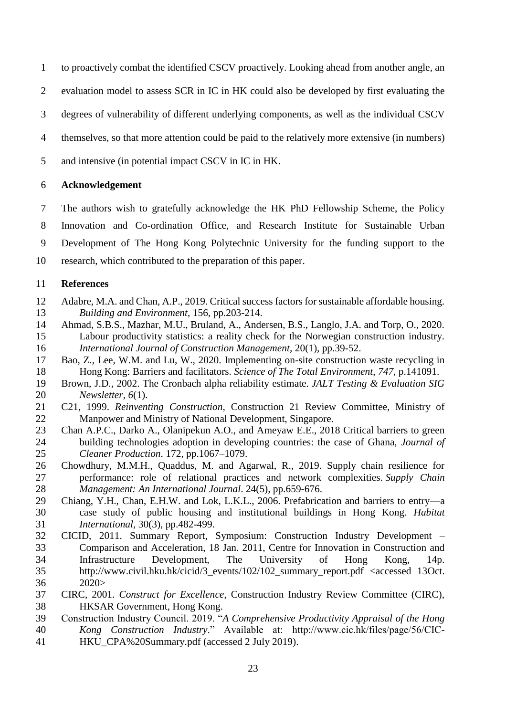- to proactively combat the identified CSCV proactively. Looking ahead from another angle, an
- evaluation model to assess SCR in IC in HK could also be developed by first evaluating the
- degrees of vulnerability of different underlying components, as well as the individual CSCV
- themselves, so that more attention could be paid to the relatively more extensive (in numbers)
- and intensive (in potential impact CSCV in IC in HK.

## **Acknowledgement**

 The authors wish to gratefully acknowledge the HK PhD Fellowship Scheme, the Policy Innovation and Co-ordination Office, and Research Institute for Sustainable Urban Development of The Hong Kong Polytechnic University for the funding support to the research, which contributed to the preparation of this paper.

## **References**

- Adabre, M.A. and Chan, A.P., 2019. Critical success factors for sustainable affordable housing. *Building and Environment*, 156, pp.203-214.
- Ahmad, S.B.S., Mazhar, M.U., Bruland, A., Andersen, B.S., Langlo, J.A. and Torp, O., 2020. Labour productivity statistics: a reality check for the Norwegian construction industry. *International Journal of Construction Management*, 20(1), pp.39-52.
- Bao, Z., Lee, W.M. and Lu, W., 2020. Implementing on-site construction waste recycling in Hong Kong: Barriers and facilitators. *Science of The Total Environment*, *747*, p.141091.
- Brown, J.D., 2002. The Cronbach alpha reliability estimate. *JALT Testing & Evaluation SIG Newsletter*, *6*(1).
- C21, 1999. *Reinventing Construction,* Construction 21 Review Committee, Ministry of Manpower and Ministry of National Development, Singapore.
- Chan A.P.C., Darko A., Olanipekun A.O., and Ameyaw E.E., 2018 Critical barriers to green building technologies adoption in developing countries: the case of Ghana, *Journal of Cleaner Production*. 172, pp.1067–1079.
- Chowdhury, M.M.H., Quaddus, M. and Agarwal, R., 2019. Supply chain resilience for performance: role of relational practices and network complexities. *Supply Chain Management: An International Journal*. 24(5), pp.659-676.
- Chiang, Y.H., Chan, E.H.W. and Lok, L.K.L., 2006. Prefabrication and barriers to entry—a case study of public housing and institutional buildings in Hong Kong. *Habitat International,* 30(3), pp.482-499.
- CICID, 2011. Summary Report, Symposium: Construction Industry Development Comparison and Acceleration, 18 Jan. 2011, Centre for Innovation in Construction and Infrastructure Development, The University of Hong Kong, 14p. [http://www.civil.hku.hk/cicid/3\\_events/102/102\\_summary\\_report.pdf](http://www.civil.hku.hk/cicid/3_events/102/102_summary_report.pdf) <accessed 13Oct. 2020>
- CIRC, 2001. *Construct for Excellence*, Construction Industry Review Committee (CIRC), HKSAR Government, Hong Kong.
- Construction Industry Council. 2019. "*A Comprehensive Productivity Appraisal of the Hong Kong Construction Industry*." Available at: http://www.cic.hk/files/page/56/CIC-HKU\_CPA%20Summary.pdf (accessed 2 July 2019).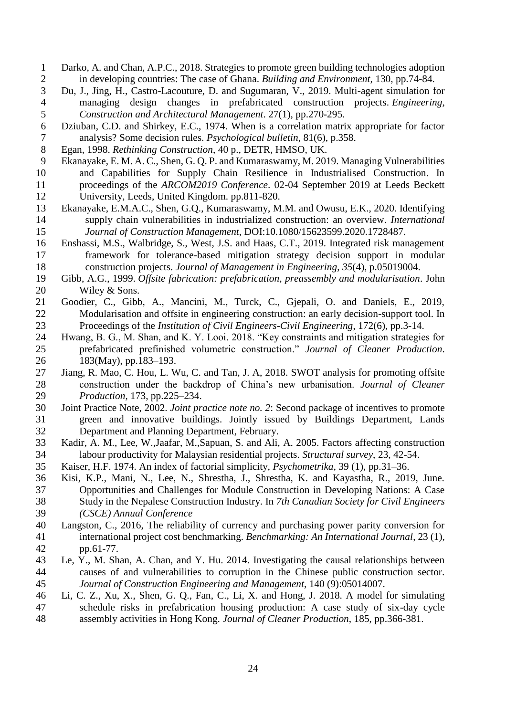- 1 Darko, A. and Chan, A.P.C., 2018. Strategies to promote green building technologies adoption<br>2 in developing countries: The case of Ghana. Building and Environment, 130, pp.74-84. 2 in developing countries: The case of Ghana. *Building and Environment*, 130, pp.74-84.<br>
2 Du, J., Jing, H., Castro-Lacouture, D. and Sugumaran, V., 2019. Multi-agent simulation for
- Du, J., Jing, H., Castro-Lacouture, D. and Sugumaran, V., 2019. Multi-agent simulation for managing design changes in prefabricated construction projects. *Engineering, Construction and Architectural Management*. 27(1), pp.270-295.
- 6 Dziuban, C.D. and Shirkey, E.C., 1974. When is a correlation matrix appropriate for factor<br>7 analysis? Some decision rules. *Psychological bulletin*, 81(6), p.358. analysis? Some decision rules. *Psychological bulletin*, 81(6), p.358.
- Egan, 1998. *Rethinking Construction*, 40 p., DETR, HMSO, UK.
- Ekanayake, E. M. A. C., Shen, G. Q. P. and Kumaraswamy, M. 2019. Managing Vulnerabilities
- and Capabilities for Supply Chain Resilience in Industrialised Construction. In proceedings of the *ARCOM2019 Conference*. 02-04 September 2019 at Leeds Beckett University, Leeds, United Kingdom. pp.811-820.
- Ekanayake, E.M.A.C., Shen, G.Q., Kumaraswamy, M.M. and Owusu, E.K., 2020. Identifying supply chain vulnerabilities in industrialized construction: an overview. *International Journal of Construction Management*, DOI:10.1080/15623599.2020.1728487.
- Enshassi, M.S., Walbridge, S., West, J.S. and Haas, C.T., 2019. Integrated risk management framework for tolerance-based mitigation strategy decision support in modular construction projects. *Journal of Management in Engineering*, *35*(4), p.05019004.
- Gibb, A.G., 1999. *Offsite fabrication: prefabrication, preassembly and modularisation*. John 20 Wiley & Sons.
- Goodier, C., Gibb, A., Mancini, M., Turck, C., Gjepali, O. and Daniels, E., 2019, Modularisation and offsite in engineering construction: an early decision-support tool. In Proceedings of the *Institution of Civil Engineers-Civil Engineering*, 172(6), pp.3-14.
- Hwang, B. G., M. Shan, and K. Y. Looi. 2018. "Key constraints and mitigation strategies for prefabricated prefinished volumetric construction." *Journal of Cleaner Production*. 183(May), pp.183–193.
- Jiang, R. Mao, C. Hou, L. Wu, C. and Tan, J. A, 2018. SWOT analysis for promoting offsite construction under the backdrop of China's new urbanisation. *Journal of Cleaner Production,* 173, pp.225–234.
- Joint Practice Note, 2002. *Joint practice note no. 2*: Second package of incentives to promote green and innovative buildings. Jointly issued by Buildings Department, Lands Department and Planning Department, February.
- Kadir, A. M., Lee, W.,Jaafar, M.,Sapuan, S. and Ali, A. 2005. Factors affecting construction labour productivity for Malaysian residential projects. *Structural survey*, 23, 42-54.
- Kaiser, H.F. 1974. An index of factorial simplicity, *Psychometrika*, 39 (1), pp.31–36.
- Kisi, K.P., Mani, N., Lee, N., Shrestha, J., Shrestha, K. and Kayastha, R., 2019, June. Opportunities and Challenges for Module Construction in Developing Nations: A Case Study in the Nepalese Construction Industry. In *7th Canadian Society for Civil Engineers (CSCE) Annual Conference*
- Langston, C., 2016, The reliability of currency and purchasing power parity conversion for international project cost benchmarking. *Benchmarking: An International Journal*, 23 (1), pp.61-77.
- Le, Y., M. Shan, A. Chan, and Y. Hu. 2014. Investigating the causal relationships between causes of and vulnerabilities to corruption in the Chinese public construction sector. *Journal of Construction Engineering and Management*, 140 (9):05014007.
- Li, C. Z., Xu, X., Shen, G. Q., Fan, C., Li, X. and Hong, J. 2018. A model for simulating schedule risks in prefabrication housing production: A case study of six-day cycle assembly activities in Hong Kong. *Journal of Cleaner Production*, 185, pp.366-381.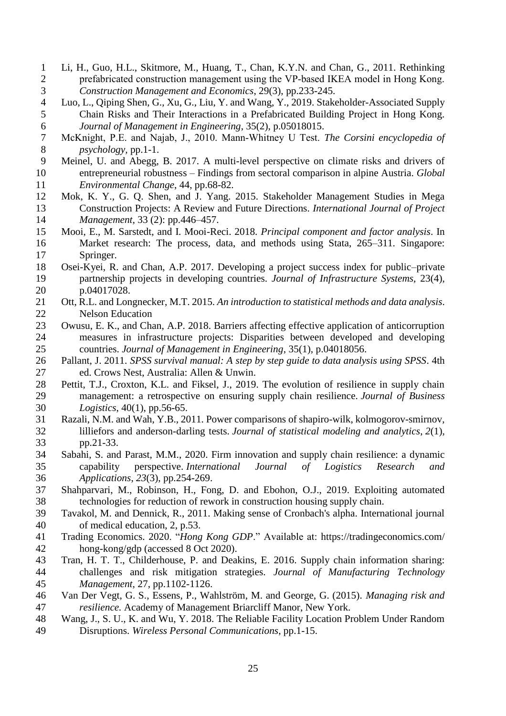- 1 Li, H., Guo, H.L., Skitmore, M., Huang, T., Chan, K.Y.N. and Chan, G., 2011. Rethinking<br>2 prefabricated construction management using the VP-based IKEA model in Hong Kong. prefabricated construction management using the VP-based IKEA model in Hong Kong. *Construction Management and Economics*, 29(3), pp.233-245.
- Luo, L., Qiping Shen, G., Xu, G., Liu, Y. and Wang, Y., 2019. Stakeholder-Associated Supply Chain Risks and Their Interactions in a Prefabricated Building Project in Hong Kong. *Journal of Management in Engineering*, 35(2), p.05018015.
- McKnight, P.E. and Najab, J., 2010. Mann‐Whitney U Test. *The Corsini encyclopedia of psychology,* pp.1-1.
- Meinel, U. and Abegg, B. 2017. A multi-level perspective on climate risks and drivers of entrepreneurial robustness – Findings from sectoral comparison in alpine Austria. *Global Environmental Change*, 44, pp.68-82.
- Mok, K. Y., G. Q. Shen, and J. Yang. 2015. Stakeholder Management Studies in Mega Construction Projects: A Review and Future Directions. *International Journal of Project Management,* 33 (2): pp.446–457.
- Mooi, E., M. Sarstedt, and I. Mooi-Reci. 2018. *Principal component and factor analysis*. In Market research: The process, data, and methods using Stata, 265–311. Singapore: Springer.
- Osei-Kyei, R. and Chan, A.P. 2017. Developing a project success index for public–private partnership projects in developing countries. *Journal of Infrastructure Systems,* 23(4), p.04017028.
- Ott, R.L. and Longnecker, M.T. 2015. *An introduction to statistical methods and data analysis*. Nelson Education
- Owusu, E. K., and Chan, A.P. 2018. Barriers affecting effective application of anticorruption measures in infrastructure projects: Disparities between developed and developing countries. *Journal of Management in Engineering*, 35(1), p.04018056.
- Pallant, J. 2011. *SPSS survival manual: A step by step guide to data analysis using SPSS*. 4th ed. Crows Nest, Australia: Allen & Unwin.
- 28 Pettit, T.J., Croxton, K.L. and Fiksel, J., 2019. The evolution of resilience in supply chain management: a retrospective on ensuring supply chain resilience. *Journal of Business*  management: a retrospective on ensuring supply chain resilience. *Journal of Business Logistics*, 40(1), pp.56-65.
- Razali, N.M. and Wah, Y.B., 2011. Power comparisons of shapiro-wilk, kolmogorov-smirnov, lilliefors and anderson-darling tests. *Journal of statistical modeling and analytics*, *2*(1), pp.21-33.
- Sabahi, S. and Parast, M.M., 2020. Firm innovation and supply chain resilience: a dynamic capability perspective. *International Journal of Logistics Research and Applications*, *23*(3), pp.254-269.
- Shahparvari, M., Robinson, H., Fong, D. and Ebohon, O.J., 2019. Exploiting automated technologies for reduction of rework in construction housing supply chain.
- Tavakol, M. and Dennick, R., 2011. Making sense of Cronbach's alpha. International journal of medical education, 2, p.53.
- Trading Economics. 2020. "*Hong Kong GDP*." Available at:<https://tradingeconomics.com/> hong-kong/gdp (accessed 8 Oct 2020).
- Tran, H. T. T., Childerhouse, P. and Deakins, E. 2016. Supply chain information sharing: challenges and risk mitigation strategies. *Journal of Manufacturing Technology Management*, 27, pp.1102-1126.
- Van Der Vegt, G. S., Essens, P., Wahlström, M. and George, G. (2015). *Managing risk and resilience.* Academy of Management Briarcliff Manor, New York.
- Wang, J., S. U., K. and Wu, Y. 2018. The Reliable Facility Location Problem Under Random Disruptions. *Wireless Personal Communications*, pp.1-15.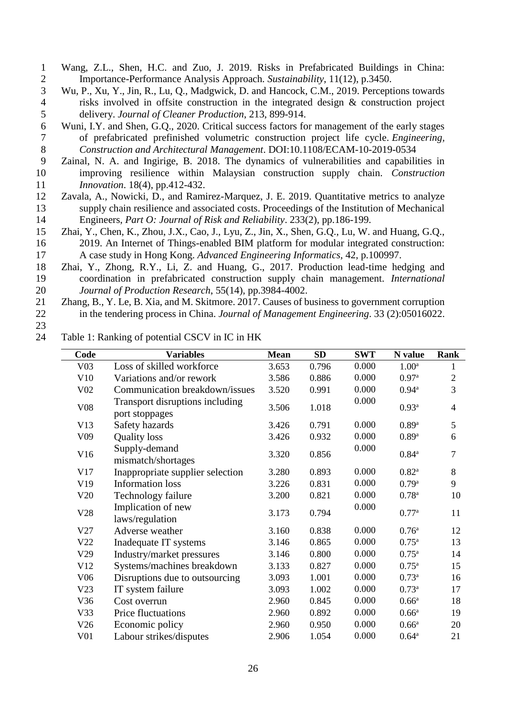- 1 Wang, Z.L., Shen, H.C. and Zuo, J. 2019. Risks in Prefabricated Buildings in China:<br>2 Importance-Performance Analysis Approach. Sustainability, 11(12), p.3450. 2 Importance-Performance Analysis Approach. *Sustainability*, 11(12), p.3450.<br>3 Wu, P., Xu, Y., Jin, R., Lu, Q., Madgwick, D. and Hancock, C.M., 2019. Percepti
- Wu, P., Xu, Y., Jin, R., Lu, Q., Madgwick, D. and Hancock, C.M., 2019. Perceptions towards 4 risks involved in offsite construction in the integrated design & construction project 5 delivery. *Journal of Cleaner Production*, 213, 899-914.
- 6 Wuni, I.Y. and Shen, G.Q., 2020. Critical success factors for management of the early stages of prefabricated prefinished volumetric construction project life cycle. *Engineering*, 7 of prefabricated prefinished volumetric construction project life cycle. *Engineering,*  8 *Construction and Architectural Management*. DOI:10.1108/ECAM-10-2019-0534
- 9 Zainal, N. A. and Ingirige, B. 2018. The dynamics of vulnerabilities and capabilities in 10 improving resilience within Malaysian construction supply chain. *Construction*  11 *Innovation.* 18(4), pp.412-432.<br>12 Zavala, A., Nowicki, D., and Rami
- Zavala, A., Nowicki, D., and Ramirez-Marquez, J. E. 2019. Quantitative metrics to analyze 13 supply chain resilience and associated costs. Proceedings of the Institution of Mechanical<br>14 Engineers. Part O: Journal of Risk and Reliability. 233(2). pp.186-199. 14 Engineers, *Part O: Journal of Risk and Reliability*. 233(2), pp.186-199.
- 15 Zhai, Y., Chen, K., Zhou, J.X., Cao, J., Lyu, Z., Jin, X., Shen, G.Q., Lu, W. and Huang, G.Q., 16 2019. An Internet of Things-enabled BIM platform for modular integrated construction: 17 A case study in Hong Kong. *Advanced Engineering Informatics*, 42, p.100997.
- 18 Zhai, Y., Zhong, R.Y., Li, Z. and Huang, G., 2017. Production lead-time hedging and 19 coordination in prefabricated construction supply chain management. *International*  20 *Journal of Production Research*, 55(14), pp.3984-4002.
- 21 Zhang, B., Y. Le, B. Xia, and M. Skitmore. 2017. Causes of business to government corruption 22 in the tendering process in China. *Journal of Management Engineering*. 33 (2):05016022.
- 23

24 Table 1: Ranking of potential CSCV in IC in HK

| Code            | <b>Variables</b>                                  | <b>Mean</b> | <b>SD</b> | <b>SWT</b> | N value             | Rank           |
|-----------------|---------------------------------------------------|-------------|-----------|------------|---------------------|----------------|
| V03             | Loss of skilled workforce                         | 3.653       | 0.796     | 0.000      | 1.00 <sup>a</sup>   |                |
| V10             | Variations and/or rework                          | 3.586       | 0.886     | 0.000      | 0.97 <sup>a</sup>   | $\overline{2}$ |
| V <sub>02</sub> | Communication breakdown/issues                    | 3.520       | 0.991     | 0.000      | $0.94^{\mathrm{a}}$ | 3              |
| V08             | Transport disruptions including<br>port stoppages | 3.506       | 1.018     | 0.000      | $0.93^{a}$          | $\overline{4}$ |
| V13             | Safety hazards                                    | 3.426       | 0.791     | 0.000      | $0.89$ <sup>a</sup> | 5              |
| V <sub>09</sub> | <b>Quality</b> loss                               | 3.426       | 0.932     | 0.000      | $0.89$ <sup>a</sup> | 6              |
| V16             | Supply-demand<br>mismatch/shortages               | 3.320       | 0.856     | 0.000      | $0.84^{a}$          | $\overline{7}$ |
| V17             | Inappropriate supplier selection                  | 3.280       | 0.893     | 0.000      | $0.82^{a}$          | 8              |
| V19             | <b>Information</b> loss                           | 3.226       | 0.831     | 0.000      | 0.79a               | 9              |
| V20             | Technology failure                                | 3.200       | 0.821     | 0.000      | $0.78^{a}$          | 10             |
| V28             | Implication of new<br>laws/regulation             | 3.173       | 0.794     | 0.000      | 0.77 <sup>a</sup>   | 11             |
| V27             | Adverse weather                                   | 3.160       | 0.838     | 0.000      | 0.76 <sup>a</sup>   | 12             |
| V22             | Inadequate IT systems                             | 3.146       | 0.865     | 0.000      | $0.75^{\rm a}$      | 13             |
| V29             | Industry/market pressures                         | 3.146       | 0.800     | 0.000      | $0.75^{\rm a}$      | 14             |
| V12             | Systems/machines breakdown                        | 3.133       | 0.827     | 0.000      | $0.75^{\rm a}$      | 15             |
| V06             | Disruptions due to outsourcing                    | 3.093       | 1.001     | 0.000      | $0.73^{\rm a}$      | 16             |
| V23             | IT system failure                                 | 3.093       | 1.002     | 0.000      | $0.73^{a}$          | 17             |
| V36             | Cost overrun                                      | 2.960       | 0.845     | 0.000      | 0.66 <sup>a</sup>   | 18             |
| V33             | Price fluctuations                                | 2.960       | 0.892     | 0.000      | 0.66 <sup>a</sup>   | 19             |
| V26             | Economic policy                                   | 2.960       | 0.950     | 0.000      | 0.66 <sup>a</sup>   | 20             |
| V <sub>01</sub> | Labour strikes/disputes                           | 2.906       | 1.054     | 0.000      | $0.64^{\rm a}$      | 21             |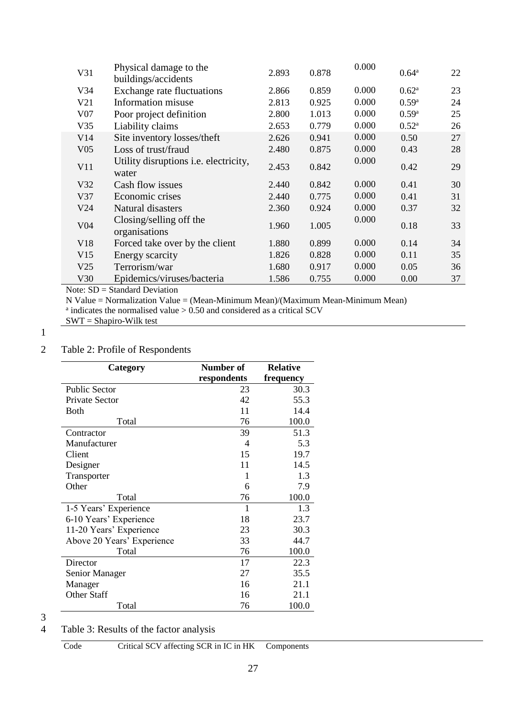| V31             | Physical damage to the<br>buildings/accidents         | 2.893 | 0.878 | 0.000 | $0.64^{\rm a}$      | 22 |
|-----------------|-------------------------------------------------------|-------|-------|-------|---------------------|----|
| V <sub>34</sub> | <b>Exchange rate fluctuations</b>                     | 2.866 | 0.859 | 0.000 | $0.62^{\rm a}$      | 23 |
| V21             | Information misuse                                    | 2.813 | 0.925 | 0.000 | $0.59$ <sup>a</sup> | 24 |
| V <sub>07</sub> | Poor project definition                               | 2.800 | 1.013 | 0.000 | 0.59 <sup>a</sup>   | 25 |
| V35             | Liability claims                                      | 2.653 | 0.779 | 0.000 | $0.52^{\rm a}$      | 26 |
| V14             | Site inventory losses/theft                           | 2.626 | 0.941 | 0.000 | 0.50                | 27 |
| V <sub>05</sub> | Loss of trust/fraud                                   | 2.480 | 0.875 | 0.000 | 0.43                | 28 |
| V11             | Utility disruptions <i>i.e.</i> electricity,<br>water | 2.453 | 0.842 | 0.000 | 0.42                | 29 |
| V32             | Cash flow issues                                      | 2.440 | 0.842 | 0.000 | 0.41                | 30 |
| V37             | Economic crises                                       | 2.440 | 0.775 | 0.000 | 0.41                | 31 |
| V24             | Natural disasters                                     | 2.360 | 0.924 | 0.000 | 0.37                | 32 |
| V <sub>04</sub> | Closing/selling off the<br>organisations              | 1.960 | 1.005 | 0.000 | 0.18                | 33 |
| V <sub>18</sub> | Forced take over by the client                        | 1.880 | 0.899 | 0.000 | 0.14                | 34 |
| V15             | Energy scarcity                                       | 1.826 | 0.828 | 0.000 | 0.11                | 35 |
| V <sub>25</sub> | Terrorism/war                                         | 1.680 | 0.917 | 0.000 | 0.05                | 36 |
| V30             | Epidemics/viruses/bacteria                            | 1.586 | 0.755 | 0.000 | 0.00                | 37 |

Note: SD = Standard Deviation

N Value = Normalization Value = (Mean-Minimum Mean)/(Maximum Mean-Minimum Mean)<br><sup>a</sup> indicates the normalised value > 0.50 and considered as a critical SCV

# 1

## 2 Table 2: Profile of Respondents

| Category                   | Number of   | <b>Relative</b> |  |
|----------------------------|-------------|-----------------|--|
|                            | respondents | frequency       |  |
| <b>Public Sector</b>       | 23          | 30.3            |  |
| Private Sector             | 42          | 55.3            |  |
| Both                       | 11          | 14.4            |  |
| Total                      | 76          | 100.0           |  |
| Contractor                 | 39          | 51.3            |  |
| Manufacturer               | 4           | 5.3             |  |
| Client                     | 15          | 19.7            |  |
| Designer                   | 11          | 14.5            |  |
| Transporter                | 1           | 1.3             |  |
| Other                      | 6           | 7.9             |  |
| Total                      | 76          | 100.0           |  |
| 1-5 Years' Experience      | 1           | 1.3             |  |
| 6-10 Years' Experience     | 18          | 23.7            |  |
| 11-20 Years' Experience    | 23          | 30.3            |  |
| Above 20 Years' Experience | 33          | 44.7            |  |
| Total                      | 76          | 100.0           |  |
| Director                   | 17          | 22.3            |  |
| Senior Manager             | 27          | 35.5            |  |
| Manager                    | 16          | 21.1            |  |
| <b>Other Staff</b>         | 16          | 21.1            |  |
| Total                      | 76          | 100.0           |  |

 $\frac{3}{4}$ 

## Table 3: Results of the factor analysis

Code Critical SCV affecting SCR in IC in HK Components

SWT = Shapiro-Wilk test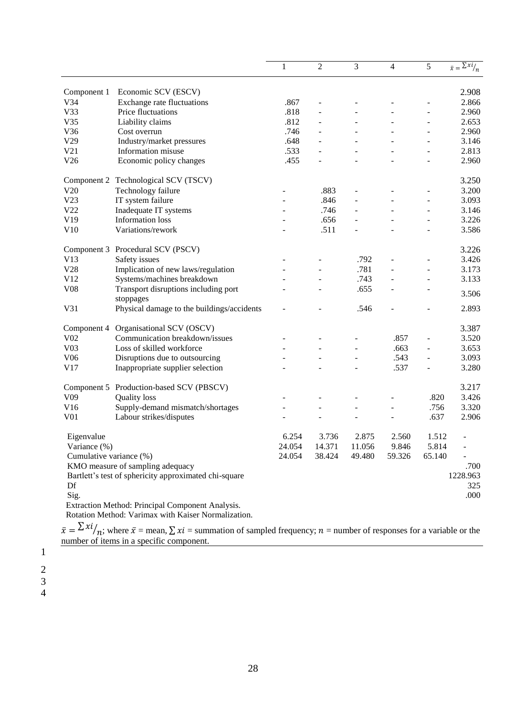|                                                             |                                                   | $\mathbf{1}$ | $\overline{c}$           | 3      | 4                        | 5                        | $\overline{\overline{x}} = \frac{\sum x_i}{n}$ |
|-------------------------------------------------------------|---------------------------------------------------|--------------|--------------------------|--------|--------------------------|--------------------------|------------------------------------------------|
| Component 1                                                 | Economic SCV (ESCV)                               |              |                          |        |                          |                          | 2.908                                          |
| V34                                                         | Exchange rate fluctuations                        | .867         |                          |        |                          |                          | 2.866                                          |
| V33                                                         | Price fluctuations                                | .818         |                          |        |                          | $\overline{a}$           | 2.960                                          |
| V35                                                         | Liability claims                                  | .812         |                          |        |                          |                          | 2.653                                          |
| V36                                                         | Cost overrun                                      | .746         |                          |        |                          | $\overline{\phantom{a}}$ | 2.960                                          |
| V29                                                         | Industry/market pressures                         | .648         |                          |        |                          |                          | 3.146                                          |
| V21                                                         | Information misuse                                | .533         |                          |        | $\overline{\phantom{a}}$ | $\overline{\phantom{a}}$ | 2.813                                          |
| V26                                                         | Economic policy changes                           | .455         | $\overline{\phantom{a}}$ |        |                          | $\overline{\phantom{a}}$ | 2.960                                          |
|                                                             | Component 2 Technological SCV (TSCV)              |              |                          |        |                          |                          | 3.250                                          |
| V20                                                         | Technology failure                                |              | .883                     | ÷      |                          |                          | 3.200                                          |
| V23                                                         | IT system failure                                 |              | .846                     |        |                          |                          | 3.093                                          |
| V22                                                         | Inadequate IT systems                             |              | .746                     |        |                          |                          | 3.146                                          |
| V19                                                         | <b>Information</b> loss                           |              | .656                     |        |                          |                          | 3.226                                          |
| V10                                                         | Variations/rework                                 |              | .511                     |        |                          |                          | 3.586                                          |
|                                                             | Component 3 Procedural SCV (PSCV)                 |              |                          |        |                          |                          | 3.226                                          |
| V13                                                         | Safety issues                                     |              |                          | .792   |                          | $\overline{a}$           | 3.426                                          |
| V28                                                         | Implication of new laws/regulation                |              |                          | .781   |                          | ÷.                       | 3.173                                          |
| V12                                                         | Systems/machines breakdown                        |              |                          | .743   |                          |                          | 3.133                                          |
| V08                                                         | Transport disruptions including port<br>stoppages |              |                          | .655   |                          |                          | 3.506                                          |
| V31                                                         | Physical damage to the buildings/accidents        |              |                          | .546   |                          |                          | 2.893                                          |
| Component 4                                                 | Organisational SCV (OSCV)                         |              |                          |        |                          |                          | 3.387                                          |
| V <sub>02</sub>                                             | Communication breakdown/issues                    |              |                          |        | .857                     | $\overline{a}$           | 3.520                                          |
| V <sub>03</sub>                                             | Loss of skilled workforce                         |              |                          |        | .663                     | $\overline{a}$           | 3.653                                          |
| V <sub>06</sub>                                             | Disruptions due to outsourcing                    |              |                          |        | .543                     | ÷,                       | 3.093                                          |
| V17                                                         | Inappropriate supplier selection                  |              |                          |        | .537                     |                          | 3.280                                          |
|                                                             | Component 5 Production-based SCV (PBSCV)          |              |                          |        |                          |                          | 3.217                                          |
| V <sub>09</sub>                                             | <b>Quality</b> loss                               |              |                          |        |                          | .820                     | 3.426                                          |
| V16                                                         | Supply-demand mismatch/shortages                  |              |                          |        | $\overline{\phantom{a}}$ | .756                     | 3.320                                          |
| V <sub>01</sub>                                             | Labour strikes/disputes                           |              |                          |        |                          | .637                     | 2.906                                          |
| Eigenvalue                                                  |                                                   | 6.254        | 3.736                    | 2.875  | 2.560                    | 1.512                    | $\blacksquare$                                 |
| Variance (%)                                                |                                                   | 24.054       | 14.371                   | 11.056 | 9.846                    | 5.814                    | $\overline{\phantom{0}}$                       |
| Cumulative variance (%)                                     |                                                   | 24.054       | 38.424                   | 49.480 | 59.326                   | 65.140                   |                                                |
| KMO measure of sampling adequacy                            |                                                   |              |                          |        |                          |                          | .700                                           |
| Bartlett's test of sphericity approximated chi-square<br>Df |                                                   |              |                          |        |                          |                          | 1228.963<br>325                                |
| Sig.                                                        |                                                   |              |                          |        |                          |                          | .000                                           |
|                                                             | Extraction Method: Principal Component Analysis.  |              |                          |        |                          |                          |                                                |

Rotation Method: Varimax with Kaiser Normalization.

 $\bar{x} = \sum x_i / n$ ; where  $\bar{x}$  = mean,  $\sum x_i$  = summation of sampled frequency;  $n$  = number of responses for a variable or the number of items in a specific component.

1 2

3

4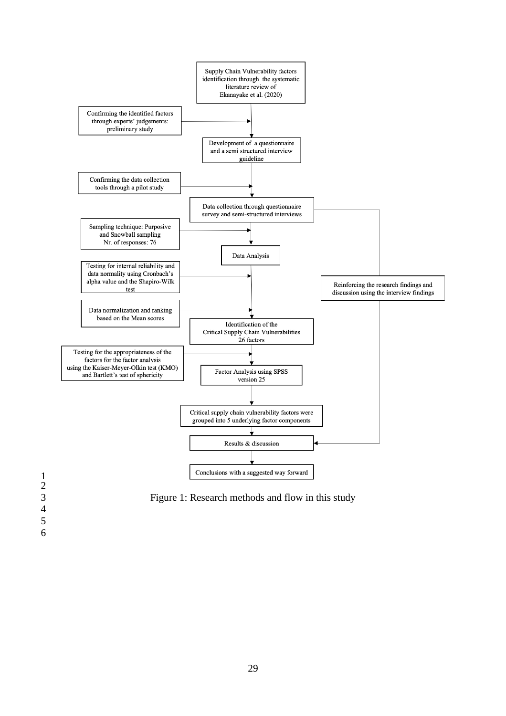

Figure 1: Research methods and flow in this study